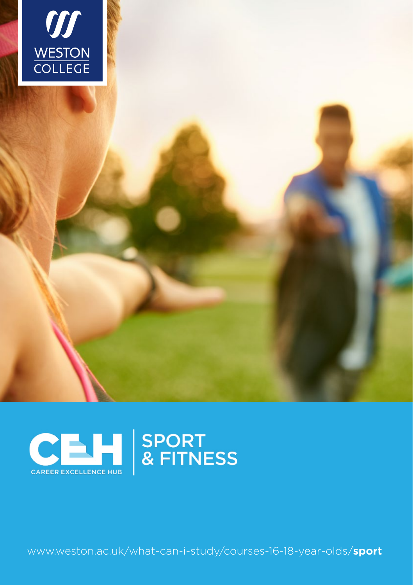



www.weston.ac.uk/what-can-i-study/courses-16-18-year-olds/sport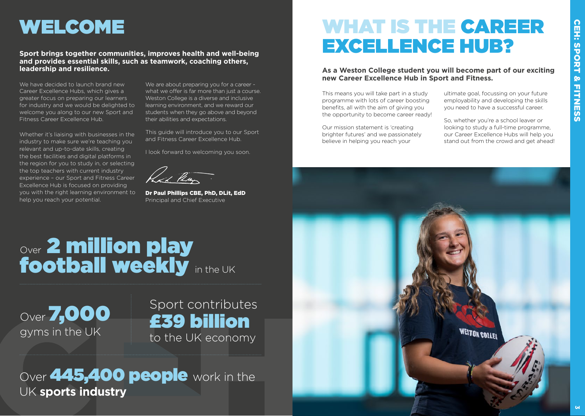### WELCOME

#### **Sport brings together communities, improves health and well-being and provides essential skills, such as teamwork, coaching others, leadership and resilience.**

We have decided to launch brand new Career Excellence Hubs, which gives a greater focus on preparing our learners for industry and we would be delighted to welcome you along to our new Sport and Fitness Career Excellence Hub.

Whether it's liaising with businesses in the industry to make sure we're teaching you relevant and up-to-date skills, creating the best facilities and digital platforms in the region for you to study in, or selecting the top teachers with current industry experience – our Sport and Fitness Career Excellence Hub is focused on providing you with the right learning environment to help you reach your potential.

We are about preparing you for a career what we offer is far more than just a course. Weston College is a diverse and inclusive learning environment, and we reward our students when they go above and beyond their abilities and expectations.

This guide will introduce you to our Sport and Fitness Career Excellence Hub.

I look forward to welcoming you soon.

had the

Dr Paul Phillips CBE, PhD, DLit, EdD Principal and Chief Executive

### WHAT IS THE CAREER EXCELLENCE HUB?

**As a Weston College student you will become part of our exciting new Career Excellence Hub in Sport and Fitness.**

This means you will take part in a study programme with lots of career boosting benefits, all with the aim of giving you the opportunity to become career ready!

Our mission statement is 'creating brighter futures' and we passionately believe in helping you reach your

ultimate goal, focussing on your future employability and developing the skills you need to have a successful career.

So, whether you're a school leaver or looking to study a full-time programme, our Career Excellence Hubs will help you stand out from the crowd and get ahead!



# Over 2 million play<br>**football weekly** in the UK

Over **7,000** gyms in the UK

### Sport contributes £39 billion to the UK economy

Over 445,400 people work in the UK **sports industry**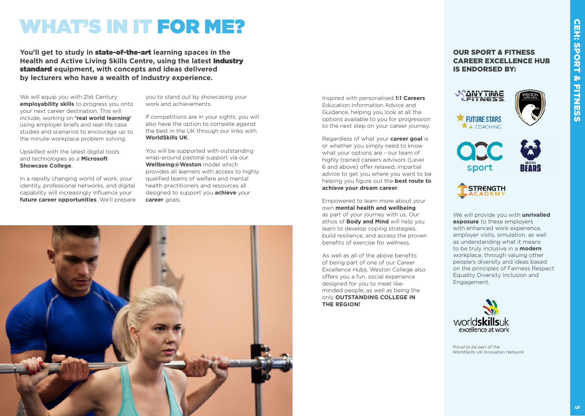### WHAT'S IN IT FOR ME?

**You'll get to study in** state-of-the-art **learning spaces in the Health and Active Living Skills Centre, using the latest** industry standard **equipment, with concepts and ideas delivered by lecturers who have a wealth of industry experience.** 

We will equip you with 21st Century **employability skills** to progress you onto your next career destination. This will include, working on **'real world learning'** using employer briefs and real-life case studies and scenarios to encourage up to the minute workplace problem solving.

Upskilled with the latest digital tools and technologies as a **Microsoft Showcase College**.

In a rapidly changing world of work, your identity, professional networks, and digital capability will increasingly influence your **future career opportunities**. We'll prepare you to stand out by showcasing your work and achievements.

If competitions are in your sights, you will also have the option to compete against the best in the UK through our links with **WorldSkills UK**.

You will be supported with outstanding wrap-around pastoral support via our **Wellbeing@Weston** model which provides all learners with access to highly qualified teams of welfare and mental health practitioners and resources all designed to support you **achieve** your **career** goals.



Inspired with personalised **1:1 Careers** Education Information Advice and Guidance, helping you look at all the options available to you for progression to the next step on your career journey.

Regardless of what your **career goal** is or whether you simply need to know what your options are - our team of highly trained careers advisors (Level 6 and above) offer relaxed, impartial advice to get you where you want to be helping you figure out the **best route to achieve your dream career**.

Empowered to learn more about your own **mental health and wellbeing** as part of your journey with us. Our ethos of **Body and Mind** will help you learn to develop coping strategies, build resilience, and access the proven benefits of exercise for wellness.

As well as all of the above benefits of being part of one of our Career Excellence Hubs, Weston College also offers you a fun, social experience designed for you to meet likeminded people, as well as being the only **OUTSTANDING COLLEGE IN THE REGION!**

#### OUR SPORT & FITNESS CAREER EXCELLENCE HUB IS ENDORSED BY:









We will provide you with **unrivalled exposure** to these employers with enhanced work experience. employer visits, simulation, as well as understanding what it means to be truly inclusive in a **modern** workplace, through valuing other people's diversity and ideas based on the principles of Fairness Respect Equality Diversity Inclusion and Engagement.



*Proud to be part of the WorldSkills UK Innovation Network*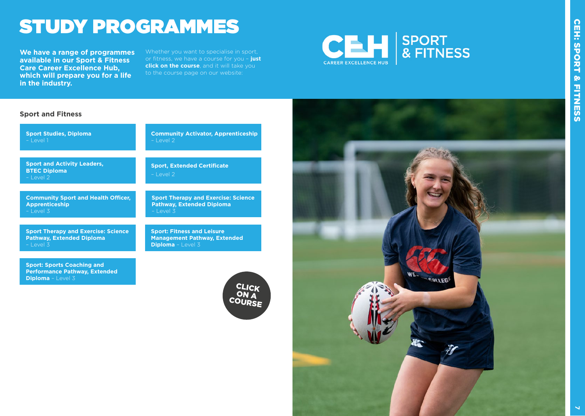### STUDY PROGRAMMES

**We have a range of programmes available in our Sport & Fitness Care Career Excellence Hub, which will prepare you for a life in the industry.**

Whether you want to specialise in sport, or fitness, we have a course for you – **just click on the course**, and it will take you to the course page on our website:

**Diploma** – Level 3



#### **Sport and Fitness**

 $-$  Level 3

**Sport Studies, Diploma** – Level 1 **Community Activator, Apprenticeship** – Level 2 **Sport Therapy and Exercise: Science Pathway, Extended Diploma Sport: Fitness and Leisure Management Pathway, Extended Sport and Activity Leaders, BTEC Diploma** – Level 2 **Sport, Extended Certificate** – Level 2 **Community Sport and Health Officer, Apprenticeship** – Level 3 **Sport Therapy and Exercise: Science Pathway, Extended Diploma** – Level 3

**Sport: Sports Coaching and Performance Pathway, Extended Diploma** – Level 3

CLICK ON A COURSE

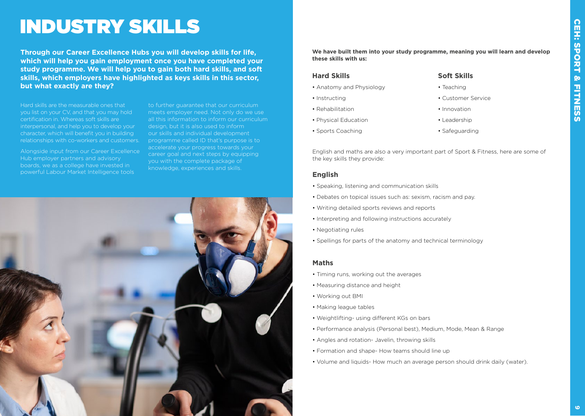### INDUSTRY SKILLS

**Through our Career Excellence Hubs you will develop skills for life, which will help you gain employment once you have completed your study programme. We will help you to gain both hard skills, and soft skills, which employers have highlighted as keys skills in this sector, but what exactly are they?**

Hard skills are the measurable ones that you list on your CV, and that you may hold certification in. Whereas soft skills are interpersonal, and help you to develop your relationships with co-workers and customers.

Alongside input from our Career Excellence Hub employer partners and advisory boards, we as a college have invested in powerful Labour Market Intelligence tools

to further guarantee that our curriculum meets employer need. Not only do we use all this information to inform our curriculum design, but it is also used to inform our skills and individual development programme called ID that's purpose is to accelerate your progress towards your career goal and next steps by equipping you with the complete package of knowledge, experiences and skills.



**We have built them into your study programme, meaning you will learn and develop these skills with us:**

#### **Hard Skills**

- Anatomy and Physiology
- Instructing
- Rehabilitation
- Physical Education
- Sports Coaching

#### **Soft Skills**

- Teaching
- Customer Service
- Innovation
- Leadership
- Safeguarding

English and maths are also a very important part of Sport & Fitness, here are some of the key skills they provide:

#### **English**

- Speaking, listening and communication skills
- Debates on topical issues such as: sexism, racism and pay.
- Writing detailed sports reviews and reports
- Interpreting and following instructions accurately
- Negotiating rules
- Spellings for parts of the anatomy and technical terminology

#### **Maths**

- Timing runs, working out the averages
- Measuring distance and height
- Working out BMI
- Making league tables
- Weightlifting- using different KGs on bars
- Performance analysis (Personal best), Medium, Mode, Mean & Range
- Angles and rotation- Javelin, throwing skills
- Formation and shape- How teams should line up
- Volume and liquids- How much an average person should drink daily (water).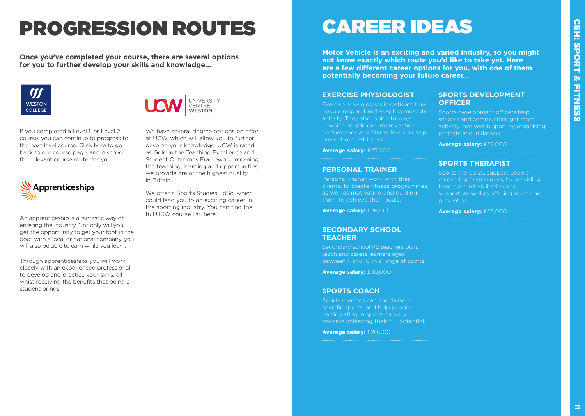## PROGRESSION ROUTES

**Once you've completed your course, there are several options for you to further develop your skills and knowledge...**





If you completed a Level 1, or Level 2 course, you can continue to progress to the next level course. Click [here](https://www.weston.ac.uk/what-can-i-study/courses-16-18-year-olds/photography/photography-ual-extended-diploma) to go back to our course page, and discover the relevant course route, for you.



An apprenticeship is a fantastic way of entering the industry. Not only will you get the opportunity to get your foot in the door with a local or national company, you will also be able to earn while you learn.

Through apprenticeships you will work closely with an experienced professional to develop and practice your skills, all whist receiving the benefits that being a student brings.

at UCW, which will allow you to further develop your knowledge. UCW is rated as Gold in the Teaching Excellence and Student Outcomes Framework, meaning the teaching, learning and opportunities we provide are of the highest quality in Britain.

We have several degree options on offer

We offer a Sports Studies FdSc, which could lead you to an exciting career in the sporting industry. You can find the full UCW course list, [here](https://www.ucw.ac.uk/courses/).

### CAREER IDEAS

**Motor Vehicle is an exciting and varied industry, so you might not know exactly which route you'd like to take yet. Here are a few different career options for you, with one of them potentially becoming your future career…**

#### **EXERCISE PHYSIOLOGIST**

Exercise physiologists investigate how people respond and adapt to muscular activity. They also look into ways in which people can improve their performance and fitness levels to help prevent or treat illness.

**Average salary:** £25,000

#### **PERSONAL TRAINER**

Personal trainer work with their clients, to create fitness programmes, as we;; as motivating and guiding them to achieve their goals.

**Average salary:** £26,000

#### **SECONDARY SCHOOL TEACHER**

Secondary school PE teachers plan, teach and assess learners aged between 11 and 18, in a range of sports.

**Average salary:** £30,000

#### **SPORTS COACH**

Sports coaches can specialise in specific sports, and help people participating in sports to work towards achieving their full potential.

**Average salary:** £20,500

#### **SPORTS DEVELOPMENT OFFICER**

Sports development officers help schools and communities get more actively involved in sport by organising projects and initiatives.

**Average salary:** £22,000

#### **SPORTS THERAPIST**

Sports therapists support people recovering from injuries, by providing treatment, rehabilitation and support, as well as offering advice on prevention.

**Average salary:** £23,000